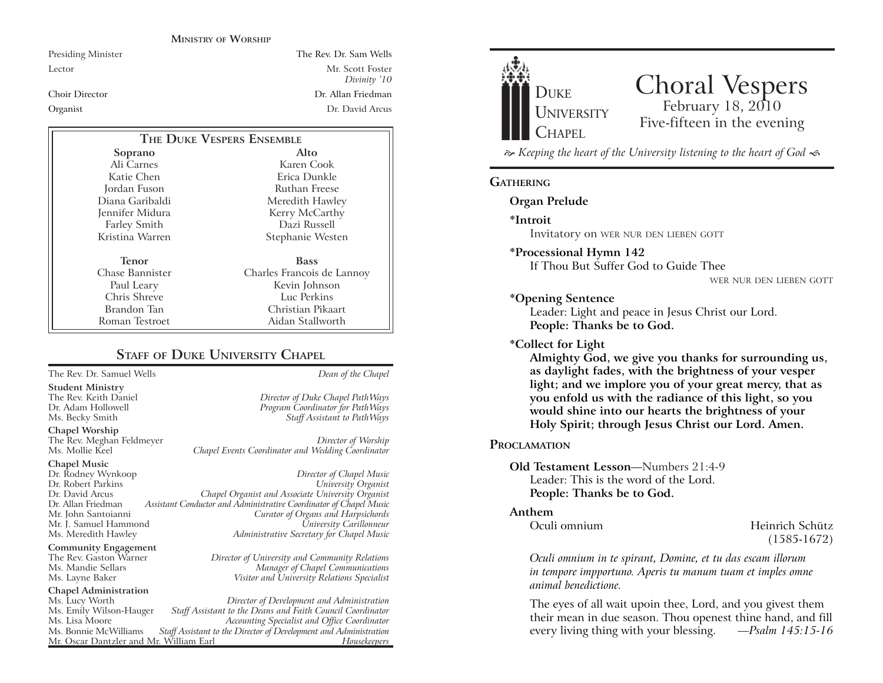#### **MINISTRY OF WORSHIP**

Presiding Minister The Rev. Dr. Sam Wells Lector Mr. Scott Foster *Divinity '10* Choir Director Dr. Allan FriedmanOrganist Dr. David Arcus

| THE DUKE VESPERS ENSEMBLE |                            |
|---------------------------|----------------------------|
| Soprano                   | Alto                       |
| Ali Carnes                | Karen Cook                 |
| Katie Chen                | Erica Dunkle               |
| Jordan Fuson              | Ruthan Freese              |
| Diana Garibaldi           | Meredith Hawley            |
| Jennifer Midura           | Kerry McCarthy             |
| Farley Smith              | Dazi Russell               |
| Kristina Warren           | Stephanie Westen           |
| Tenor                     | <b>Bass</b>                |
| Chase Bannister           | Charles Francois de Lannoy |
| Paul Leary                | Kevin Johnson              |
| Chris Shreve              | Luc Perkins                |
| Brandon Tan               | Christian Pikaart          |
| Roman Testroet            | Aidan Stallworth           |

#### **STAFF OF DUKE UNIVERSITY CHAPEL**

The Rev. Dr. Samuel Wells *Dean of the Chapel*

**Student Ministry**

**Chapel Worship**

The Rev. Meghan Feldmeyer *Director of Worship* Chapel Events Coordinator and Wedding Coordinator

# **Chapel Music** Mr. J. Samuel Hammond

**Community Engagement**<br>The Rev. Gaston Warner

### **Chapel Administration**

Mr. Oscar Dantzler and Mr. William Earl

The Rev. Keith Daniel *Director of Duke Chapel PathWays* Dr. Adam Hollowell *Program Coordinator for PathWays* Staff Assistant to PathWays

Dr. Rodney Wynkoop *Director of Chapel Music* Dr. Robert Parkins *University Organist* Dr. David Arcus *Chapel Organist and Associate University Organist* Dr. Allan Friedman *Assistant Conductor and Administrative Coordinator of Chapel Music* Mr. John Santoianni *Curator of Organs and Harpsichords* Ms. Meredith Hawley *Administrative Secretary for Chapel Music*

The Rev. Gaston Warner *Director of University and Community Relations* Ms. Mandie Sellars *Manager of Chapel Communications* Ms. Layne Baker *Visitor and University Relations Specialist*

Ms. Lucy Worth *Director of Development and Administration* Ms. Emily Wilson-Hauger *Staff Assistant to the Deans and Faith Council Coordinator* Ms. Lisa Moore *Accounting Specialist and Office Coordinator* Staff Assistant to the Director of Development and Administration<br>*r*. William Earl *Housekeepers* 



## Choral Vespers<br>February 18, 2010 Five-fifteen in the evening

 *Keeping the heart of the University listening to the heart of God* 

#### **GATHERING**

**Organ Prelude**

**\*Introit** 

Invitatory on WER NUR DEN LIEBEN GOTT

#### **\*Processional Hymn 142**

If Thou But Suffer God to Guide Thee

WER NUR DEN LIEBEN GOTT

#### **\*Opening Sentence**

Leader: Light and peace in Jesus Christ our Lord. **People: Thanks be to God.**

**\*Collect for Light**

**Almighty God, we give you thanks for surrounding us, as daylight fades, with the brightness of your vesper light; and we implore you of your great mercy, that as you enfold us with the radiance of this light, so you would shine into our hearts the brightness of your Holy Spirit; through Jesus Christ our Lord. Amen.** 

#### **PROCLAMATION**

#### **Old Testament Lesson**—Numbers 21:4-9Leader: This is the word of the Lord. **People: Thanks be to God.**

#### **Anthem**

Oculi omnium **Heinrich Schütz** (1585-1672)

*Oculi omnium in te spirant, Domine, et tu das escam illorum in tempore impportuno. Aperis tu manum tuam et imples omne animal benedictione.*

The eyes of all wait upoin thee, Lord, and you givest them their mean in due season. Thou openest thine hand, and fill every living thing with your blessing. *—Psalm 145:15-16*